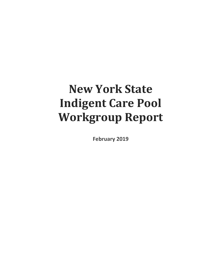# **New York State Indigent Care Pool Workgroup Report**

**February 2019**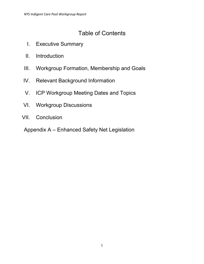# Table of Contents

- I. Executive Summary
- II. Introduction
- III. Workgroup Formation, Membership and Goals
- IV. Relevant Background Information
- V. ICP Workgroup Meeting Dates and Topics
- VI. Workgroup Discussions
- VII. Conclusion

Appendix A – Enhanced Safety Net Legislation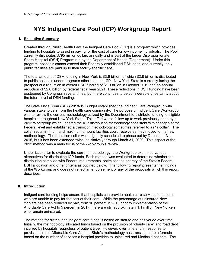# **NYS Indigent Care Pool (ICP) Workgroup Report**

#### **I. Executive Summary**

Created through Public Health Law, the Indigent Care Pool (ICP) is a program which provides funding to hospitals to assist in paying for the cost of care for low income individuals. The Pool currently distributes \$795 million dollars annually and is part of the larger Disproportionate Share Hospital (DSH) Program run by the Department of Health (Department). Under this program, hospitals cannot exceed their Federally established DSH caps, and currently, only public facilities are paid up to their facility-specific caps.

The total amount of DSH funding in New York is \$3.6 billion, of which \$2.8 billion is distributed to public hospitals under programs other than the ICP. New York State is currently facing the prospect of a reduction in overall DSH funding of \$1.3 billion in October 2019 and an annual reduction of \$2.6 billion by federal fiscal year 2021. These reductions in DSH funding have been postponed by Congress several times, but there continues to be considerable uncertainty about the future level of DSH funding.

The State Fiscal Year (SFY) 2018-19 Budget established the Indigent Care Workgroup with various stakeholders from the health care community. The purpose of Indigent Care Workgroup was to review the current methodology utilized by the Department to distribute funding to eligible hospitals throughout New York State. This effort was a follow-up to work previously done by a 2012 Workgroup which updated the ICP distribution methodology consistent with changes at the Federal level and established a transition methodology sometimes referred to as "a collar". The collar set a minimum and maximum amount facilities could receive as they moved to the new methodology. The transition collar was originally scheduled to phase out by December 31, 2015, but it has been extended twice legislatively through March 31, 2020. This aspect of the 2012 method was a main focus of the Workgroup's review.

Under its charter to evaluate the current methodology, the Workgroup examined various alternatives for distributing ICP funds. Each method was evaluated to determine whether the distribution complied with Federal requirements, optimized the entirety of the State's Federal DSH allocation and other criteria as outlined below. The following report presents the findings of the Workgroup and does not reflect an endorsement of any of the proposals which this report describes.

#### **II. Introduction**

Indigent care funding helps ensure that hospitals can provide health care services to patients who are unable to pay for the cost of their care. While the percentage of uninsured New Yorkers has been reduced by half, from 10 percent in 2013 prior to implementation of the Affordable Care Act to 5 percent in 2017, there are still approximately 1.1 million New Yorkers who remain uninsured

The method for distributing indigent care funds is based on statute and has varied over time. Initially, the methodology allocated funds based on the provision of "charity care" and "bad debt" incurred by hospitals regardless of patient type. However, over time and in response to provisions in the Affordable Care Act, the State's methodology has transitioned to a formula based on the number of services a hospital provides to uninsured and Medicaid patients. The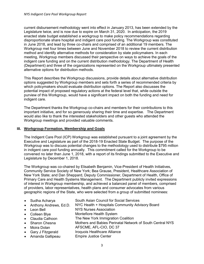current disbursement methodology went into effect in January 2013, has been extended by the Legislature twice, and is now due to expire on March 31, 2020. In anticipation, the 2019 enacted state budget established a workgroup to make policy recommendations regarding disproportionate share hospital and indigent care pool funding. The Workgroup was constituted in June 2018, and lead by three co-chairs and comprised of an additional 19 members. The Workgroup met four times between June and November 2018 to review the current distribution method and identify alternative methods for consideration by state policymakers. In each meeting, Workgroup members discussed their perspective on ways to achieve the goals of the indigent care funding and on the current distribution methodology. The Department of Health (Department) and three of the organizations represented on the Workgroup ultimately presented alternative options for distribution methods.

This Report describes the Workgroup discussions, provide details about alternative distribution options suggested by Workgroup members and sets forth a series of recommended criteria by which policymakers should evaluate distribution options. The Report also discusses the potential impact of proposed regulatory actions at the federal level that, while outside the purview of this Workgroup, would have a significant impact on both the funding and need for indigent care.

The Department thanks the Workgroup co-chairs and members for their contributions to this important initiative, and for so generously sharing their time and expertise. The Department would also like to thank the interested stakeholders and other guests who attended the Workgroup meetings and provided valuable comments.

### **III. Workgroup Formation, Membership and Goals**

The Indigent Care Pool (ICP) Workgroup was established pursuant to a joint agreement by the Executive and Legislature as part of the 2018-19 Enacted State Budget. The purpose of the Workgroup was to discuss potential changes to the methodology used to distribute \$795 million in indigent care pool funding annually. This commitment called for the Workgroup to be convened no later than June 1, 2018, with a report of its findings submitted to the Executive and Legislature by December 1, 2018.

The Workgroup was co-chaired by Elisabeth Benjamin, Vice-President of Health Initiatives, Community Service Society of New York; Bea Grause, President, Healthcare Association of New York State; and Dan Sheppard, Deputy Commissioner, Department of Health, Office of Primary Care and Health Systems Management. The Department publicly invited expressions of interest in Workgroup membership, and achieved a balanced panel of members, comprised of providers, labor representatives, health plans and consumer advocates from various geographic regions of the State, who were selected from a group of submitted nominees:

- Sudha Acharya South Asian Council for Social Services
- Anthony Andrews, Ed.D. NYC Health + Hospitals Community Advisory Board
- Leon Bell **NYS Nurses Association**
- Colleen Blye Montefiore Health System
- Claudia Calhoon The New York Immigration Coalition
- Sharon Chesna **Mothers and Babies Perinatal Network of South Central NYS**
- Moira Dolan AFSCME, AFL-CIO, DC 37
- Gary J Fitzgerald Iroquois Healthcare Alliance
- Amanda Gallipeau Empire Justice Center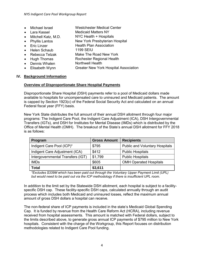- Michael Israel Westchester Medical Center
- **Lara Kassel Medicaid Matters NY**
- Mitchell Katz, M.D. NYC Health + Hospitals
- Phyllis Lantos New York Presbyterian Hospital
- Eric Linzer Health Plan Association
- Helen Schaub 1199 SEIU
- Rebecca Telzak Make The Road New York
- Hugh Thomas Rochester Regional Health
- Dennis Whalen Northwell Health
- Elisabeth Wynn Greater New York Hospital Association

### **IV. Background Information**

### **Overview of Disproportionate Share Hospital Payments**

Disproportionate Share Hospital (DSH) payments refer to a pool of Medicaid dollars made available to hospitals for uncompensated care to uninsured and Medicaid patients. The amount is capped by Section 1923(c) of the Federal Social Security Act and calculated on an annual Federal fiscal year (FFY) basis.

New York State distributes the full amount of their annual DSH allotment through four major programs: The Indigent Care Pool, the Indigent Care Adjustment (ICA), DSH Intergovernmental Transfers (IGTs), and DSH for Institutes for Mental Disease (IMDs) which is distributed by the Office of Mental Health (OMH). The breakout of the State's annual DSH allotment for FFY 2018 is as follows:

| Program                           | <b>Gross Amount</b> | <b>Recipients</b>                     |
|-----------------------------------|---------------------|---------------------------------------|
| Indigent Care Pool (ICP)*         | \$795               | <b>Public and Voluntary Hospitals</b> |
| Indigent Care Adjustment (ICA)    | \$412               | <b>Public Hospitals</b>               |
| Intergovernmental Transfers (IGT) | \$1,799             | <b>Public Hospitals</b>               |
| <b>IMDs</b>                       | \$605               | <b>OMH Operated Hospitals</b>         |
| <b>Total</b>                      | \$3,611             |                                       |

*\*Excludes \$339M which has been paid out through the Voluntary Upper Payment Limit (UPL) but would need to be paid out via the ICP methodology if there is insufficient UPL room.*

In addition to the limit set by the Statewide DSH allotment, each hospital is subject to a facilityspecific DSH cap. These facility-specific DSH caps, calculated annually through an audit process which includes both Medicaid and uninsured losses, reflect the maximum annual amount of gross DSH dollars a hospital can receive.

The non-federal share of ICP payments is included in the state's Medicaid Global Spending Cap. It is funded by revenue from the Health Care Reform Act (HCRA), including revenue received from hospital assessments. This amount is matched with Federal dollars, subject to the limits described above, to generate gross annual ICP payments of \$795 million to New York hospitals. Consistent with the charge of the Workgroup, this Report focuses on distribution methodologies related to Indigent Care Pool funding.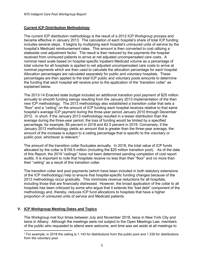### **Current ICP Distribution Methodology**

The current ICP distribution methodology is the result of a 2012 ICP Workgroup process and became effective in January 2013. The calculation of each hospital's share of total ICP funding includes several steps. It begins by multiplying each hospital's uninsured units of service by the hospital's Medicaid reimbursement rates. This amount is then converted to cost utilizing a statewide cost adjustment factor. The result is then reduced by the payments the hospital received from uninsured patients to arrive at net adjusted uncompensated care costs. A nominal need scale based on hospital specific inpatient Medicaid volume as a percentage of total volume for all hospitals is applied to net adjusted uncompensated care costs to arrive at nominal payments which are then used to calculate the allocation percentage for each hospital. Allocation percentages are calculated separately for public and voluntary hospitals. These percentages are then applied to the total ICP public and voluntary pools amounts to determine the funding that each hospital will receive prior to the application of the "transition collar" as explained below.

The 2013-14 Enacted state budget included an additional transition pool payment of \$25 million annually to smooth funding swings resulting from the January 2013 implementation of the then new ICP methodology. The 2013 methodology also established a transition collar that sets a "floor" and a "ceiling" on the amount of ICP funding each hospital receives relative to that same hospital's average ICP payment during the three-year period January 2010 through December 2012. In short, if the January 2013 methodology resulted in a lesser distribution than the average during the three-year period, the loss of funding would be limited by a specified percentage, for example, 85 percent in 2018 and 82.5 percent in 2019. Conversely, if the January 2013 methodology yields an amount that is greater than the three-year average, the amount of the increase is subject to a ceiling percentage that is specific to the voluntary or public pool, whichever is relevant.<sup>1</sup>

The amount of the transition collar fluctuates annually. In 2018, the total value of ICP funds allocated by the collar is \$159.5 million (including the \$25 million transition pool). As of the date of this Report, the 2019 "ceilings" have not been determined pending completion of cost report audits. It is important to note that hospitals receive no less than their "floor" and no more than their "ceiling" as a result of this transition collar.

The transition collar and pool payments (which have been included in both statutory extensions of the ICP methodology) help to ensure that hospital-specific funding changes because of the 2013 methodology occur gradually. This minimizes revenue reductions for all hospitals, including those that are financially distressed. However, the broad application of the collar to all hospitals has been criticized by some who argue that it extends the "bad debt" component of the methodology and, thereby, reduces ICP fund allocations to hospitals that have a higher proportion of uninsured units of service and Medicaid patients.

## **V. ICP Workgroup Meeting Dates and Topics**

 $\overline{a}$ 

The Workgroup met four times between July and November 2018, twice in New York City and twice in Albany. Although the meetings were not subject to the Open Meetings Law, members of the public who requested to attend were welcome, and time was set aside at all meetings to

<sup>1</sup> For example, in 2018 the ceiling is 1.143 for distributions from the public pool and 1.330 for distributions from the voluntary pool.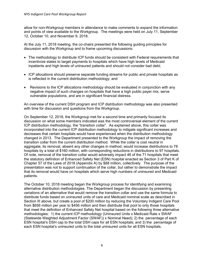allow for non-Workgroup members in attendance to make comments to expand the information and points of view available to the Workgroup. The meetings were held on July 11, September 12, October 10, and November 9, 2018.

At the July 11, 2018 meeting, the co-chairs presented the following guiding principles for discussion with the Workgroup and to frame upcoming discussions:

- The methodology to distribute ICP funds should be consistent with Federal requirements that incentivize states to target payments to hospitals which have high levels of Medicaid inpatients and high levels of uninsured patients and should not consider bad debt;
- ICP allocations should preserve separate funding streams for public and private hospitals as is reflected in the current distribution methodology; and
- Revisions to the ICP allocations methodology should be evaluated in conjunction with any negative impact of such changes on hospitals that have a high public payer mix, serve vulnerable populations, and are in significant financial distress.

An overview of the current DSH program and ICP distribution methodology was also presented with time for discussion and questions from the Workgroup.

On September 12, 2018, the Workgroup met for a second time and primarily focused its discussion on what some members indicated was the most controversial element of the current ICP distribution methodology, the "transition collar". As explained above, this collar was incorporated into the current ICP distribution methodology to mitigate significant increases and decreases that certain hospitals would have experienced when the distribution methodology changed in 2013. The Department presented to the Workgroup the impact of removing the transition collar from the current distribution method. While the collar is cost neutral in aggregate, its removal, absent any other changes in method, would increase distributions to 78 hospitals by a total of \$160 million, with corresponding reductions in distributions to 97 hospitals. Of note, removal of the transition collar would adversely impact 46 of the 71 hospitals that meet the statutory definition of Enhanced Safety Net (ESN) hospital enacted as Section 3 of Part K of Chapter 57 of the Laws of 2018 (Appendix A) by \$88 million, collectively. The purpose of the presentation was not to support continuation of the collar, but rather to demonstrate the impact that its removal would have on hospitals which serve high numbers of uninsured and Medicaid patients.

The October 10, 2018 meeting began the Workgroup process for identifying and examining alternative distribution methodologies. The Department began the discussion by presenting variations of an alternative that would remove the transition collar and use the same formula to distribute funds based on uninsured units of care and Medicaid nominal scale as described in Section III above, but create a pool of \$200 million by reducing the Voluntary Indigent Care Pool from \$656 million per year to \$456 million and then distribute that pool to only those hospitals that meet the definition of Enhanced Safety Net hospital based on the following three alternative methodologies: 1) the current ICP methodology (Uninsured Units x Medicaid Rate x SWAF (Statewide Weighted Adjustment Factor (SWAF)) x Nominal Need); 2) the percentage of each ESN hospital's DSH cap to the total DSH caps for all ESN hospitals; and 3) the percentage of each ESN hospital's uninsured units to the total uninsured units for all ESN hospitals.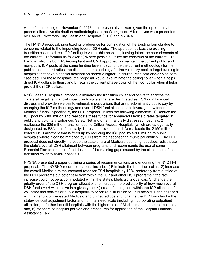At the final meeting on November 9, 2018, all representatives were given the opportunity to present alternative distribution methodologies to the Workgroup. Alternatives were presented by HANYS, New York City Health and Hospitals (H+H) and NYSNA.

The HANYS proposal, prioritized its preference for continuation of the existing formula due to concerns related to the impending federal DSH cuts. The approach utilizes the existing transition collar to direct ICP funding to vulnerable hospitals, leaving intact the core elements of the current ICP formula as follows: 1) Where possible, utilize the construct of the current ICP formula, which is both ACA-compliant and CMS approved; 2) maintain the current public and non-public ICP pools at the same funding levels; 3) continue the current methodology for the public pool; and, 4) adjust the distribution methodology for the voluntary pool to target funding to hospitals that have a special designation and/or a higher uninsured, Medicaid and/or Medicare caseload. For these hospitals, the proposal would: a) eliminate the ceiling collar when it helps direct ICP dollars to them; and b) retain the current phase-down of the floor collar when it helps protect their ICP dollars.

NYC Health + Hospitals' proposal eliminates the transition collar and seeks to address the collateral negative financial impact on hospitals that are designated as ESN or in financial distress and provide services to vulnerable populations that are predominantly public pay by changing the ICP methodology and overall DSH fund allocations to leverage new federal Medicaid funds. Specifically, the H+H proposal utilizes the following elements: 1) Reduce the ICP pool by \$300 million and reallocate these funds for enhanced Medicaid rates targeted at public and voluntary Enhanced Safety Net and other financially distressed hospitals; 2) reallocate the \$25 million transition pool to Critical Access Hospitals (which are categorically designated as ESN) and financially distressed providers; and, 3) reallocate the \$150 million federal DSH allotment that is freed up by reducing the ICP pool by \$300 million to public hospitals where it can be matched by IGTs from their sponsoring municipal entities. The H+H proposal does not directly increase the state share of Medicaid spending, but does redistribute the state's overall DSH allotment between programs and recommends the use of some Essential Plan federal trust fund dollars to fill remaining gaps caused by the elimination of the transition collar to at-risk hospitals.

NYSNA presented a paper outlining a series of recommendations and endorsing the NYC H+H proposal. The NYSNA recommendations include: 1) Eliminate the transition collar; 2) increase the overall Medicaid reimbursement rates for ESN hospitals by 10%, preferably from outside of the DSH programs but potentially from within the ICP and other DSH programs if the rate increase could not be accommodated within the state's Medicaid Global cap; 3) change the priority order of the DSH program allocations to increase the predictability of how much overall DSH funds H+H will receive in a given year; 4) create funding tiers within the ICP allocation for voluntary and non-major public hospitals to prioritize distribution to ESN hospitals and hospitals with higher uncompensated Medicaid and uninsured costs; 5) change the ICP formulas for the statewide cost adjustment factor and nominal need scale (including incorporating outpatient utilization) to further benefit hospitals with the higher rates of Medicaid and uninsured patients; and, 6) standardize hospital policies and procedures for application of the Hospital Financial Assistance Law.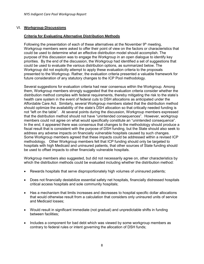#### VI. **Workgroup Discussions**

### **Criteria for Evaluating Alternative Distribution Methods**

Following the presentation of each of these alternatives at the November  $9<sup>th</sup>$  meeting, Workgroup members were asked to offer their point of view on the factors or characteristics that could be used to determine what an effective distribution model should accomplish. The purpose of this discussion was to engage the Workgroup in an open dialogue to identify key priorities. By the end of the discussion, the Workgroup had identified a set of suggestions that could be used to evaluate the various distribution options, as summarized below. The Workgroup did not explicitly attempt to apply these evaluation criteria to the proposals presented to the Workgroup. Rather, the evaluation criteria presented a valuable framework for future consideration of any statutory changes to the ICP Pool methodology.

Several suggestions for evaluation criteria had near consensus within the Workgroup. Among them, Workgroup members strongly suggested that the evaluation criteria consider whether the distribution method complies with federal requirements, thereby mitigating the risk to the state's health care system in the event of federal cuts to DSH allocations as anticipated under the Affordable Care Act. Similarly, several Workgroup members stated that the distribution method should optimize the availability of the state's DSH allocation so that critically needed funding is not "left on the table". At several points during the discussion, Workgroup members expressed that the distribution method should not have "unintended consequences". However, workgroup members could not agree on what would specifically constitute an "unintended consequence". In the end, it appeared there was consensus that changes to the methodology should produce a fiscal result that is consistent with the purpose of DSH funding, but the State should also seek to address any adverse impacts on financially vulnerable hospitals caused by such changes. Some Workgroup members agreed that these impacts could be addressed within a revised ICP methodology. Other Workgroup members felt that ICP funding should only be targeted to hospitals with high Medicaid and uninsured patients, that other sources of State funding should be used to offset impacts to other financially vulnerable hospitals.

Workgroup members also suggested, but did not necessarily agree on, other characteristics by which the distribution methods could be evaluated including whether the distribution method:

- Rewards hospitals that serve disproportionately high volumes of uninsured patients;
- Does not financially destabilize essential safety net hospitals, financially distressed hospitals critical access hospitals and sole community hospitals;
- Has a mechanism that limits increases and decreases to hospital specific dollar allocations that would otherwise result from a calculation that considers only uninsured units of service and Medicaid losses;
- Would result in significant immediate (not gradual) and unpredictable shifts in funding between facilities;
- Includes a component for bad debt which was viewed by some workgroup members as contrary to federal rules or intent governing the allocation of DSH funds;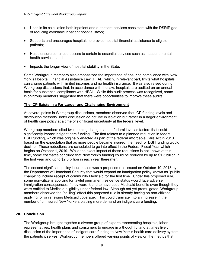- Uses in its calculation both inpatient and outpatient services consistent with the DSRIP goal of reducing avoidable inpatient hospital stays;
- Supports and encourages hospitals to provide hospital financial assistance to eligible patients;
- Helps ensure continued access to certain to essential services such as inpatient mental health services; and,
- Impacts the longer view of hospital stability in the State.

Some Workgroup members also emphasized the importance of ensuring compliance with New York's Hospital Financial Assistance Law (HFAL) which, in relevant part, limits what hospitals can charge patients with limited incomes and no health insurance. It was also raised during Workgroup discussions that, in accordance with the law, hospitals are audited on an annual basis for substantial compliance with HFAL. While this audit process was recognized, some Workgroup members suggested that there were opportunities to improve these audits.

#### **The ICP Exists in a Far Larger and Challenging Environment**

At several points in Workgroup discussions, members observed that ICP funding levels and distribution methods under discussion do not live in isolation but rather in a larger environment of health care policy at a time of significant uncertainty at the federal level.

Workgroup members cited two looming changes at the federal level as factors that could significantly impact indigent care funding. The first relates to a planned reduction in federal DSH funding, which was originally enacted as part of the federal Affordable Care Act in 2010 based on the expectation that as more people became insured, the need for DSH funding would decline. These reductions are scheduled to go into effect in the Federal Fiscal Year which begins on October 1, 2019. While the exact impact of these reductions is not known at this time, some estimates conclude that New York's funding could be reduced by up to \$1.3 billion in the first year and up to \$2.6 billion in each year thereafter.

The second significant policy issue raised was a proposed rule issued on October 10, 2018 by the Department of Homeland Security that would expand an immigration policy known as "public charge" to include receipt of community Medicaid for the first time. Under this proposed rule, some non-citizens applying for lawful permanent residence status would face adverse immigration consequences if they were found to have used Medicaid benefits even though they were entitled to Medicaid eligibility under federal law. Although not yet promulgated, Workgroup members observed the "chilling" effect this proposed rule is already having on non-citizens applying for or renewing Medicaid coverage. This could translate into an increase in the number of uninsured New Yorkers placing more demand on indigent care funding.

## **VII. Conclusion**

The Workgroup brought together a diverse group of experts representing hospitals, labor representatives, health plans and consumers to engage in a thoughtful and at times lively discussion of the importance of indigent care funding to New York's health care delivery system the patients it serves. Workgroup members offered varying points of view on the metrics that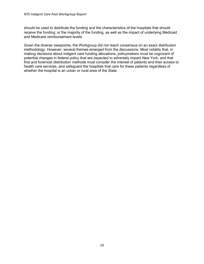should be used to distribute the funding and the characteristics of the hospitals that should receive the funding, or the majority of the funding, as well as the impact of underlying Medicaid and Medicare reimbursement levels.

Given the diverse viewpoints, the Workgroup did not reach consensus on an exact distribution methodology. However, several themes emerged from the discussions. Most notably that, in making decisions about indigent care funding allocations, policymakers must be cognizant of potential changes in federal policy that are expected to adversely impact New York, and that first and foremost distribution methods must consider the interest of patients and their access to health care services, and safeguard the hospitals that care for these patients regardless of whether the hospital is an urban or rural area of the State.